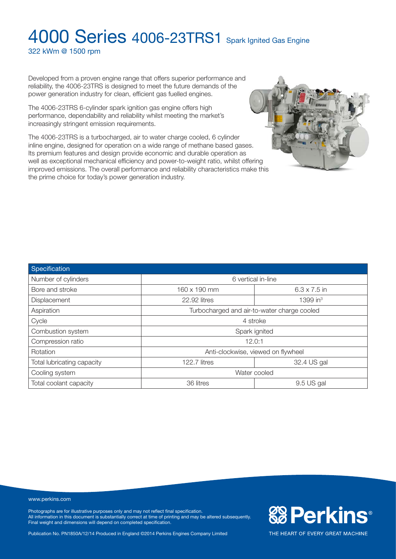322 kWm @ 1500 rpm

Developed from a proven engine range that offers superior performance and reliability, the 4006-23TRS is designed to meet the future demands of the power generation industry for clean, efficient gas fuelled engines.

The 4006-23TRS 6-cylinder spark ignition gas engine offers high performance, dependability and reliability whilst meeting the market's increasingly stringent emission requirements.

The 4006-23TRS is a turbocharged, air to water charge cooled, 6 cylinder inline engine, designed for operation on a wide range of methane based gases. Its premium features and design provide economic and durable operation as well as exceptional mechanical efficiency and power-to-weight ratio, whilst offering improved emissions. The overall performance and reliability characteristics make this the prime choice for today's power generation industry.



| Specification              |                                             |                     |  |
|----------------------------|---------------------------------------------|---------------------|--|
| Number of cylinders        | 6 vertical in-line                          |                     |  |
| Bore and stroke            | 160 x 190 mm                                | $6.3 \times 7.5$ in |  |
| Displacement               | 22.92 litres                                | 1399 in $3$         |  |
| Aspiration                 | Turbocharged and air-to-water charge cooled |                     |  |
| Cycle                      | 4 stroke                                    |                     |  |
| Combustion system          | Spark ignited                               |                     |  |
| Compression ratio          | 12.0:1                                      |                     |  |
| Rotation                   | Anti-clockwise, viewed on flywheel          |                     |  |
| Total lubricating capacity | 122.7 litres                                | 32.4 US gal         |  |
| Cooling system             | Water cooled                                |                     |  |
| Total coolant capacity     | 36 litres                                   | 9.5 US gal          |  |

www.perkins.com

Photographs are for illustrative purposes only and may not reflect final specification. All information in this document is substantially correct at time of printing and may be altered subsequently. Final weight and dimensions will depend on completed specification.

Publication No. PN1850A/12/14 Produced in England ©2014 Perkins Engines Company Limited

**& Perkins®**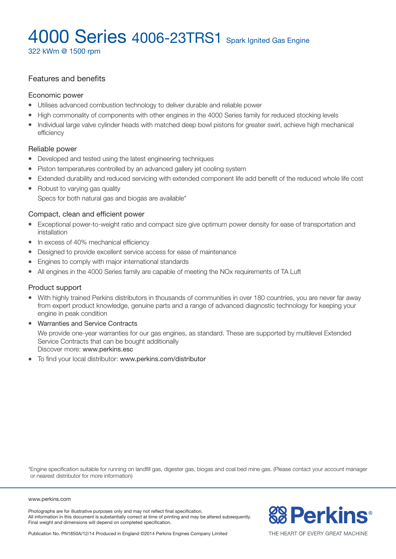322 kWm @ 1500 rpm

### Features and benefits

#### Economic power

- Utilises advanced combustion technology to deliver durable and reliable power
- High commonality of components with other engines in the 4000 Series family for reduced stocking levels
- <sup>l</sup> Individual large valve cylinder heads with matched deep bowl pistons for greater swirl, achieve high mechanical efficiency

### Reliable power

- Developed and tested using the latest engineering techniques
- Piston temperatures controlled by an advanced gallery jet cooling system
- Extended durability and reduced servicing with extended component life add benefit of the reduced whole life cost
- Robust to varying gas quality Specs for both natural gas and biogas are available\*

### Compact, clean and efficient power

- Exceptional power-to-weight ratio and compact size give optimum power density for ease of transportation and installation
- In excess of 40% mechanical efficiency
- Designed to provide excellent service access for ease of maintenance
- Engines to comply with major international standards
- All engines in the 4000 Series family are capable of meeting the NOx requirements of TA Luft

#### Product support

- <sup>l</sup> With highly trained Perkins distributors in thousands of communities in over 180 countries, you are never far away from expert product knowledge, genuine parts and a range of advanced diagnostic technology for keeping your engine in peak condition
- Warranties and Service Contracts We provide one-year warranties for our gas engines, as standard. These are supported by multilevel Extended Service Contracts that can be bought additionally Discover more: www.perkins.esc
- To find your local distributor: www.perkins.com/distributor

\*Engine specification suitable for running on landfill gas, digester gas, biogas and coal bed mine gas. (Please contact your account manager or nearest distributor for more information)

#### www.perkins.com

Photographs are for illustrative purposes only and may not reflect final specification. All information in this document is substantially correct at time of printing and may be altered subsequently. Final weight and dimensions will depend on completed specification.



Publication No. PN1850A/12/14 Produced in England ©2014 Perkins Engines Company Limited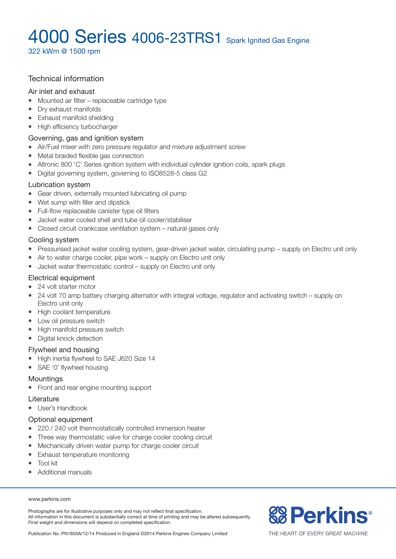322 kWm @ 1500 rpm

### Technical information

#### Air inlet and exhaust

- $\bullet$  Mounted air filter replaceable cartridge type
- Dry exhaust manifolds
- Exhaust manifold shielding
- High efficiency turbocharger

### Governing, gas and ignition system

- Air/Fuel mixer with zero pressure regulator and mixture adjustment screw
- Metal braided flexible gas connection
- Altronic 800 'C' Series ignition system with individual cylinder ignition coils, spark plugs
- Digital governing system, governing to ISO8528-5 class G2

#### Lubrication system

- Gear driven, externally mounted lubricating oil pump
- $\bullet$  Wet sump with filler and dipstick
- Full-flow replaceable canister type oil filters
- l Jacket water cooled shell and tube oil cooler/stabiliser
- Closed circuit crankcase ventilation system natural gases only

### Cooling system

- Pressurised jacket water cooling system, gear-driven jacket water, circulating pump supply on Electro unit only
- $\bullet$  Air to water charge cooler, pipe work supply on Electro unit only
- $\bullet$  Jacket water thermostatic control supply on Electro unit only

#### Electrical equipment

- 24 volt starter motor
- 24 volt 70 amp battery charging alternator with integral voltage, regulator and activating switch supply on Electro unit only
- High coolant temperature
- Low oil pressure switch
- High manifold pressure switch
- Digital knock detection

#### Flywheel and housing

- High inertia flywheel to SAE J620 Size 14
- SAE '0' flywheel housing

### **Mountings**

• Front and rear engine mounting support

#### Literature

 $\bullet$  User's Handbook

### Optional equipment

- 220 / 240 volt thermostatically controlled immersion heater
- Three way thermostatic valve for charge cooler cooling circuit
- Mechanically driven water pump for charge cooler circuit
- Exhaust temperature monitoring
- $\bullet$  Tool kit
- Additional manuals

#### www.perkins.com

Photographs are for illustrative purposes only and may not reflect final specification. All information in this document is substantially correct at time of printing and may be altered subsequently. Final weight and dimensions will depend on completed specification.



Publication No. PN1850A/12/14 Produced in England ©2014 Perkins Engines Company Limited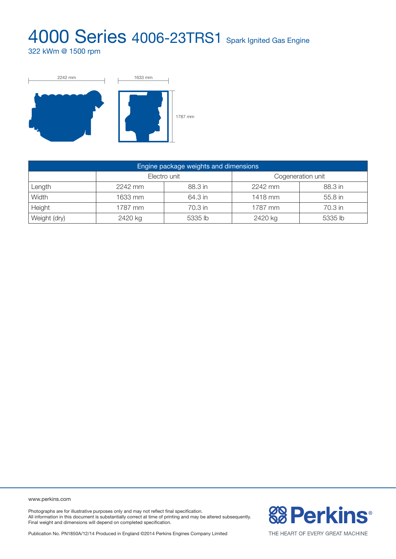322 kWm @ 1500 rpm



| Engine package weights and dimensions |              |         |                   |         |  |  |
|---------------------------------------|--------------|---------|-------------------|---------|--|--|
|                                       | Electro unit |         | Cogeneration unit |         |  |  |
| Length                                | 2242 mm      | 88.3 in | 2242 mm           | 88.3 in |  |  |
| Width                                 | 1633 mm      | 64.3 in | 1418 mm           | 55.8 in |  |  |
| Height                                | 1787 mm      | 70.3 in | 1787 mm           | 70.3 in |  |  |
| Weight (dry)                          | 2420 kg      | 5335 lb | 2420 kg           | 5335 lb |  |  |

www.perkins.com

Photographs are for illustrative purposes only and may not reflect final specification. All information in this document is substantially correct at time of printing and may be altered subsequently. Final weight and dimensions will depend on completed specification.

**& Perkins®** 

Publication No. PN1850A/12/14 Produced in England ©2014 Perkins Engines Company Limited